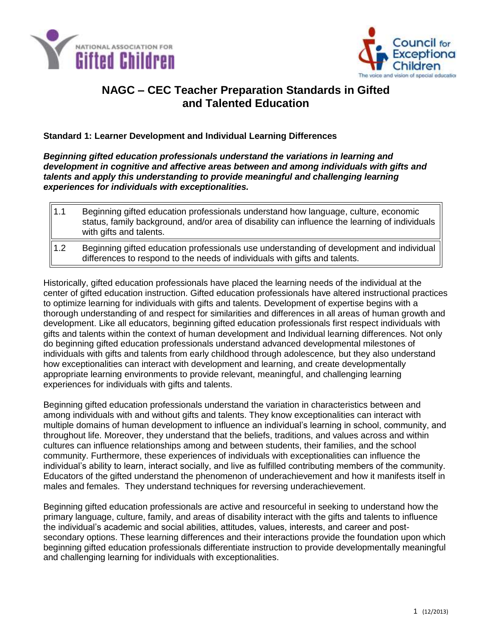



# **NAGC – CEC Teacher Preparation Standards in Gifted and Talented Education**

## **Standard 1: Learner Development and Individual Learning Differences**

*Beginning gifted education professionals understand the variations in learning and development in cognitive and affective areas between and among individuals with gifts and*  talents and apply this understanding to provide meaningful and challenging learning *experiences for individuals with exceptionalities.*

| ll 1.1 | Beginning gifted education professionals understand how language, culture, economic<br>status, family background, and/or area of disability can influence the learning of individuals<br>with gifts and talents. |
|--------|------------------------------------------------------------------------------------------------------------------------------------------------------------------------------------------------------------------|
| 11 2   | Declingion of the ducation professionals use understanding of development and individual                                                                                                                         |

:ginning gifted education professionals use understanding of development and differences to respond to the needs of individuals with gifts and talents.

Historically, gifted education professionals have placed the learning needs of the individual at the center of gifted education instruction. Gifted education professionals have altered instructional practices to optimize learning for individuals with gifts and talents. Development of expertise begins with a thorough understanding of and respect for similarities and differences in all areas of human growth and development. Like all educators, beginning gifted education professionals first respect individuals with gifts and talents within the context of human development and Individual learning differences. Not only do beginning gifted education professionals understand advanced developmental milestones of individuals with gifts and talents from early childhood through adolescence*,* but they also understand how exceptionalities can interact with development and learning, and create developmentally appropriate learning environments to provide relevant, meaningful, and challenging learning experiences for individuals with gifts and talents.

Beginning gifted education professionals understand the variation in characteristics between and among individuals with and without gifts and talents. They know exceptionalities can interact with multiple domains of human development to influence an individual's learning in school, community, and throughout life. Moreover, they understand that the beliefs, traditions, and values across and within cultures can influence relationships among and between students, their families, and the school community. Furthermore, these experiences of individuals with exceptionalities can influence the individual's ability to learn, interact socially, and live as fulfilled contributing members of the community. Educators of the gifted understand the phenomenon of underachievement and how it manifests itself in males and females. They understand techniques for reversing underachievement.

Beginning gifted education professionals are active and resourceful in seeking to understand how the primary language, culture, family, and areas of disability interact with the gifts and talents to influence the individual's academic and social abilities, attitudes, values, interests, and career and postsecondary options. These learning differences and their interactions provide the foundation upon which beginning gifted education professionals differentiate instruction to provide developmentally meaningful and challenging learning for individuals with exceptionalities.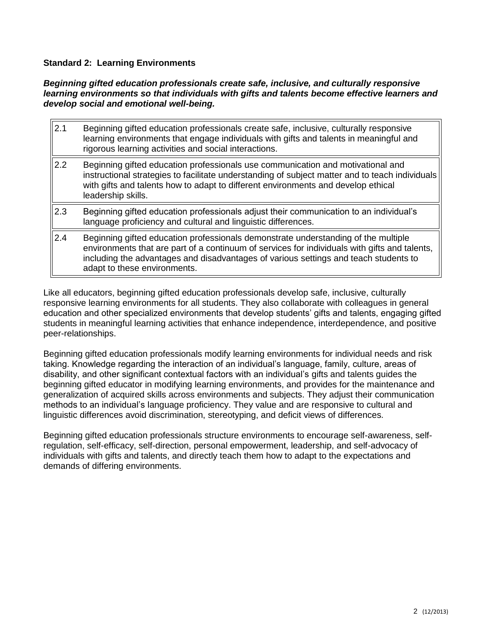# **Standard 2: Learning Environments**

### *Beginning gifted education professionals create safe, inclusive, and culturally responsive learning environments so that individuals with gifts and talents become effective learners and develop social and emotional well-being.*

| 2.1 | Beginning gifted education professionals create safe, inclusive, culturally responsive<br>learning environments that engage individuals with gifts and talents in meaningful and<br>rigorous learning activities and social interactions.                                                                   |
|-----|-------------------------------------------------------------------------------------------------------------------------------------------------------------------------------------------------------------------------------------------------------------------------------------------------------------|
| 2.2 | Beginning gifted education professionals use communication and motivational and<br>instructional strategies to facilitate understanding of subject matter and to teach individuals<br>with gifts and talents how to adapt to different environments and develop ethical<br>leadership skills.               |
| 2.3 | Beginning gifted education professionals adjust their communication to an individual's<br>language proficiency and cultural and linguistic differences.                                                                                                                                                     |
| 2.4 | Beginning gifted education professionals demonstrate understanding of the multiple<br>environments that are part of a continuum of services for individuals with gifts and talents,<br>including the advantages and disadvantages of various settings and teach students to<br>adapt to these environments. |

Like all educators, beginning gifted education professionals develop safe, inclusive, culturally responsive learning environments for all students. They also collaborate with colleagues in general education and other specialized environments that develop students' gifts and talents, engaging gifted students in meaningful learning activities that enhance independence, interdependence, and positive peer-relationships.

Beginning gifted education professionals modify learning environments for individual needs and risk taking. Knowledge regarding the interaction of an individual's language, family, culture, areas of disability, and other significant contextual factors with an individual's gifts and talents guides the beginning gifted educator in modifying learning environments, and provides for the maintenance and generalization of acquired skills across environments and subjects. They adjust their communication methods to an individual's language proficiency. They value and are responsive to cultural and linguistic differences avoid discrimination, stereotyping, and deficit views of differences.

Beginning gifted education professionals structure environments to encourage self-awareness, selfregulation, self-efficacy, self-direction, personal empowerment, leadership, and self-advocacy of individuals with gifts and talents, and directly teach them how to adapt to the expectations and demands of differing environments.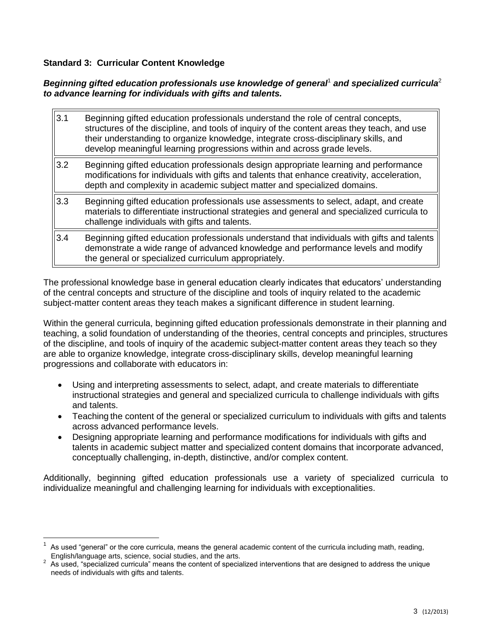# **Standard 3: Curricular Content Knowledge**

 $\overline{a}$ 

### $B$ eginning gifted education professionals use knowledge of general<sup>1</sup> and specialized curricula<sup>2</sup> *to advance learning for individuals with gifts and talents.*

| 3.1 | Beginning gifted education professionals understand the role of central concepts,<br>structures of the discipline, and tools of inquiry of the content areas they teach, and use<br>their understanding to organize knowledge, integrate cross-disciplinary skills, and<br>develop meaningful learning progressions within and across grade levels. |
|-----|-----------------------------------------------------------------------------------------------------------------------------------------------------------------------------------------------------------------------------------------------------------------------------------------------------------------------------------------------------|
| 3.2 | Beginning gifted education professionals design appropriate learning and performance<br>modifications for individuals with gifts and talents that enhance creativity, acceleration,<br>depth and complexity in academic subject matter and specialized domains.                                                                                     |
| 3.3 | Beginning gifted education professionals use assessments to select, adapt, and create<br>materials to differentiate instructional strategies and general and specialized curricula to<br>challenge individuals with gifts and talents.                                                                                                              |
| 3.4 | Beginning gifted education professionals understand that individuals with gifts and talents<br>demonstrate a wide range of advanced knowledge and performance levels and modify<br>the general or specialized curriculum appropriately.                                                                                                             |

The professional knowledge base in general education clearly indicates that educators' understanding of the central concepts and structure of the discipline and tools of inquiry related to the academic subject-matter content areas they teach makes a significant difference in student learning.

Within the general curricula, beginning gifted education professionals demonstrate in their planning and teaching, a solid foundation of understanding of the theories, central concepts and principles, structures of the discipline, and tools of inquiry of the academic subject-matter content areas they teach so they are able to organize knowledge, integrate cross-disciplinary skills, develop meaningful learning progressions and collaborate with educators in:

- Using and interpreting assessments to select, adapt, and create materials to differentiate instructional strategies and general and specialized curricula to challenge individuals with gifts and talents.
- Teaching the content of the general or specialized curriculum to individuals with gifts and talents across advanced performance levels.
- Designing appropriate learning and performance modifications for individuals with gifts and talents in academic subject matter and specialized content domains that incorporate advanced, conceptually challenging, in-depth, distinctive, and/or complex content.

Additionally, beginning gifted education professionals use a variety of specialized curricula to individualize meaningful and challenging learning for individuals with exceptionalities.

<sup>1</sup> As used "general" or the core curricula, means the general academic content of the curricula including math, reading, English/language arts, science, social studies, and the arts. 2

As used, "specialized curricula" means the content of specialized interventions that are designed to address the unique needs of individuals with gifts and talents.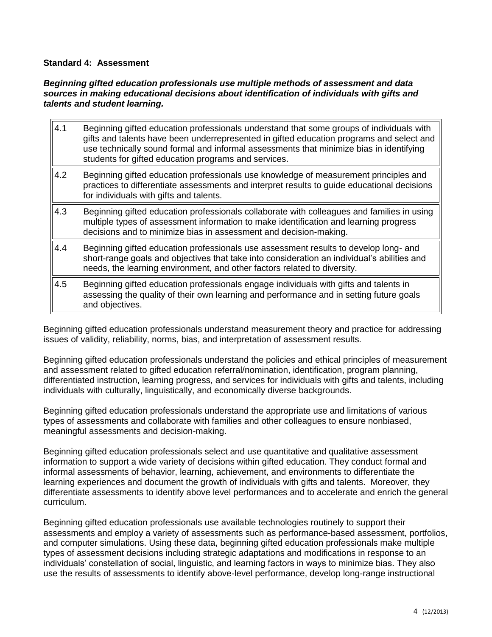### **Standard 4: Assessment**

#### *Beginning gifted education professionals use multiple methods of assessment and data sources in making educational decisions about identification of individuals with gifts and talents and student learning.*

| 4.1 | Beginning gifted education professionals understand that some groups of individuals with<br>gifts and talents have been underrepresented in gifted education programs and select and<br>use technically sound formal and informal assessments that minimize bias in identifying<br>students for gifted education programs and services. |
|-----|-----------------------------------------------------------------------------------------------------------------------------------------------------------------------------------------------------------------------------------------------------------------------------------------------------------------------------------------|
| 4.2 | Beginning gifted education professionals use knowledge of measurement principles and<br>practices to differentiate assessments and interpret results to guide educational decisions<br>for individuals with gifts and talents.                                                                                                          |
| 4.3 | Beginning gifted education professionals collaborate with colleagues and families in using<br>multiple types of assessment information to make identification and learning progress<br>decisions and to minimize bias in assessment and decision-making.                                                                                |
| 4.4 | Beginning gifted education professionals use assessment results to develop long- and<br>short-range goals and objectives that take into consideration an individual's abilities and<br>needs, the learning environment, and other factors related to diversity.                                                                         |
| 4.5 | Beginning gifted education professionals engage individuals with gifts and talents in<br>assessing the quality of their own learning and performance and in setting future goals<br>and objectives.                                                                                                                                     |

Beginning gifted education professionals understand measurement theory and practice for addressing issues of validity, reliability, norms, bias, and interpretation of assessment results.

Beginning gifted education professionals understand the policies and ethical principles of measurement and assessment related to gifted education referral/nomination, identification, program planning, differentiated instruction, learning progress, and services for individuals with gifts and talents, including individuals with culturally, linguistically, and economically diverse backgrounds.

Beginning gifted education professionals understand the appropriate use and limitations of various types of assessments and collaborate with families and other colleagues to ensure nonbiased, meaningful assessments and decision-making.

Beginning gifted education professionals select and use quantitative and qualitative assessment information to support a wide variety of decisions within gifted education. They conduct formal and informal assessments of behavior, learning, achievement, and environments to differentiate the learning experiences and document the growth of individuals with gifts and talents. Moreover, they differentiate assessments to identify above level performances and to accelerate and enrich the general curriculum.

Beginning gifted education professionals use available technologies routinely to support their assessments and employ a variety of assessments such as performance-based assessment, portfolios, and computer simulations. Using these data, beginning gifted education professionals make multiple types of assessment decisions including strategic adaptations and modifications in response to an individuals' constellation of social, linguistic, and learning factors in ways to minimize bias. They also use the results of assessments to identify above-level performance, develop long-range instructional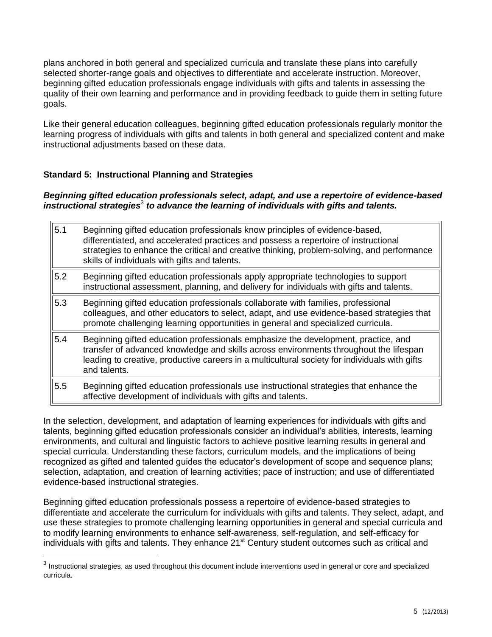plans anchored in both general and specialized curricula and translate these plans into carefully selected shorter-range goals and objectives to differentiate and accelerate instruction. Moreover, beginning gifted education professionals engage individuals with gifts and talents in assessing the quality of their own learning and performance and in providing feedback to guide them in setting future goals.

Like their general education colleagues, beginning gifted education professionals regularly monitor the learning progress of individuals with gifts and talents in both general and specialized content and make instructional adjustments based on these data.

# **Standard 5: Instructional Planning and Strategies**

 $\overline{a}$ 

### *Beginning gifted education professionals select, adapt, and use a repertoire of evidence-based*  instructional strategies<sup>3</sup> to advance the learning of individuals with gifts and talents.

| 5.1 | Beginning gifted education professionals know principles of evidence-based,<br>differentiated, and accelerated practices and possess a repertoire of instructional<br>strategies to enhance the critical and creative thinking, problem-solving, and performance<br>skills of individuals with gifts and talents. |
|-----|-------------------------------------------------------------------------------------------------------------------------------------------------------------------------------------------------------------------------------------------------------------------------------------------------------------------|
| 5.2 | Beginning gifted education professionals apply appropriate technologies to support<br>instructional assessment, planning, and delivery for individuals with gifts and talents.                                                                                                                                    |
| 5.3 | Beginning gifted education professionals collaborate with families, professional<br>colleagues, and other educators to select, adapt, and use evidence-based strategies that<br>promote challenging learning opportunities in general and specialized curricula.                                                  |
| 5.4 | Beginning gifted education professionals emphasize the development, practice, and<br>transfer of advanced knowledge and skills across environments throughout the lifespan<br>leading to creative, productive careers in a multicultural society for individuals with gifts<br>and talents.                       |
| 5.5 | Beginning gifted education professionals use instructional strategies that enhance the<br>affective development of individuals with gifts and talents.                                                                                                                                                            |

In the selection, development, and adaptation of learning experiences for individuals with gifts and talents, beginning gifted education professionals consider an individual's abilities, interests, learning environments, and cultural and linguistic factors to achieve positive learning results in general and special curricula. Understanding these factors, curriculum models, and the implications of being recognized as gifted and talented guides the educator's development of scope and sequence plans; selection, adaptation, and creation of learning activities; pace of instruction; and use of differentiated evidence-based instructional strategies.

Beginning gifted education professionals possess a repertoire of evidence-based strategies to differentiate and accelerate the curriculum for individuals with gifts and talents. They select, adapt, and use these strategies to promote challenging learning opportunities in general and special curricula and to modify learning environments to enhance self-awareness, self-regulation, and self-efficacy for individuals with gifts and talents. They enhance 21<sup>st</sup> Century student outcomes such as critical and

 $^3$  Instructional strategies, as used throughout this document include interventions used in general or core and specialized curricula.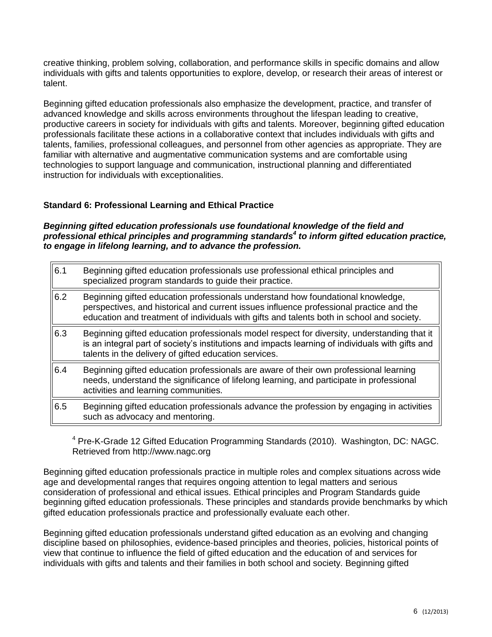creative thinking, problem solving, collaboration, and performance skills in specific domains and allow individuals with gifts and talents opportunities to explore, develop, or research their areas of interest or talent.

Beginning gifted education professionals also emphasize the development, practice, and transfer of advanced knowledge and skills across environments throughout the lifespan leading to creative, productive careers in society for individuals with gifts and talents. Moreover, beginning gifted education professionals facilitate these actions in a collaborative context that includes individuals with gifts and talents, families, professional colleagues, and personnel from other agencies as appropriate. They are familiar with alternative and augmentative communication systems and are comfortable using technologies to support language and communication, instructional planning and differentiated instruction for individuals with exceptionalities.

## **Standard 6: Professional Learning and Ethical Practice**

#### *Beginning gifted education professionals use foundational knowledge of the field and professional ethical principles and programming standards<sup>4</sup> to inform gifted education practice, to engage in lifelong learning, and to advance the profession.*

| 6.1         | Beginning gifted education professionals use professional ethical principles and<br>specialized program standards to guide their practice.                                                                                                                              |
|-------------|-------------------------------------------------------------------------------------------------------------------------------------------------------------------------------------------------------------------------------------------------------------------------|
| 6.2         | Beginning gifted education professionals understand how foundational knowledge,<br>perspectives, and historical and current issues influence professional practice and the<br>education and treatment of individuals with gifts and talents both in school and society. |
| $\vert$ 6.3 | Beginning gifted education professionals model respect for diversity, understanding that it<br>is an integral part of society's institutions and impacts learning of individuals with gifts and<br>talents in the delivery of gifted education services.                |
| 6.4         | Beginning gifted education professionals are aware of their own professional learning<br>needs, understand the significance of lifelong learning, and participate in professional<br>activities and learning communities.                                               |
| 6.5         | Beginning gifted education professionals advance the profession by engaging in activities<br>such as advocacy and mentoring.                                                                                                                                            |

<sup>4</sup> Pre-K-Grade 12 Gifted Education Programming Standards (2010). Washington, DC: NAGC. Retrieved from http://www.nagc.org

Beginning gifted education professionals practice in multiple roles and complex situations across wide age and developmental ranges that requires ongoing attention to legal matters and serious consideration of professional and ethical issues. Ethical principles and Program Standards guide beginning gifted education professionals. These principles and standards provide benchmarks by which gifted education professionals practice and professionally evaluate each other.

Beginning gifted education professionals understand gifted education as an evolving and changing discipline based on philosophies, evidence-based principles and theories, policies, historical points of view that continue to influence the field of gifted education and the education of and services for individuals with gifts and talents and their families in both school and society. Beginning gifted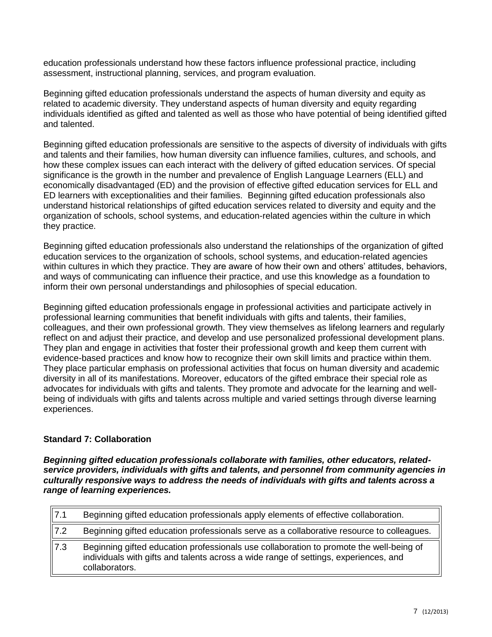education professionals understand how these factors influence professional practice, including assessment, instructional planning, services, and program evaluation.

Beginning gifted education professionals understand the aspects of human diversity and equity as related to academic diversity. They understand aspects of human diversity and equity regarding individuals identified as gifted and talented as well as those who have potential of being identified gifted and talented.

Beginning gifted education professionals are sensitive to the aspects of diversity of individuals with gifts and talents and their families, how human diversity can influence families, cultures, and schools, and how these complex issues can each interact with the delivery of gifted education services. Of special significance is the growth in the number and prevalence of English Language Learners (ELL) and economically disadvantaged (ED) and the provision of effective gifted education services for ELL and ED learners with exceptionalities and their families. Beginning gifted education professionals also understand historical relationships of gifted education services related to diversity and equity and the organization of schools, school systems, and education-related agencies within the culture in which they practice.

Beginning gifted education professionals also understand the relationships of the organization of gifted education services to the organization of schools, school systems, and education-related agencies within cultures in which they practice. They are aware of how their own and others' attitudes, behaviors, and ways of communicating can influence their practice, and use this knowledge as a foundation to inform their own personal understandings and philosophies of special education.

Beginning gifted education professionals engage in professional activities and participate actively in professional learning communities that benefit individuals with gifts and talents, their families, colleagues, and their own professional growth. They view themselves as lifelong learners and regularly reflect on and adjust their practice, and develop and use personalized professional development plans. They plan and engage in activities that foster their professional growth and keep them current with evidence-based practices and know how to recognize their own skill limits and practice within them. They place particular emphasis on professional activities that focus on human diversity and academic diversity in all of its manifestations. Moreover, educators of the gifted embrace their special role as advocates for individuals with gifts and talents. They promote and advocate for the learning and wellbeing of individuals with gifts and talents across multiple and varied settings through diverse learning experiences.

### **Standard 7: Collaboration**

*Beginning gifted education professionals collaborate with families, other educators, relatedservice providers, individuals with gifts and talents, and personnel from community agencies in culturally responsive ways to address the needs of individuals with gifts and talents across a range of learning experiences.*

| 7.1 | Beginning gifted education professionals apply elements of effective collaboration.                                                                                                               |
|-----|---------------------------------------------------------------------------------------------------------------------------------------------------------------------------------------------------|
| 7.2 | Beginning gifted education professionals serve as a collaborative resource to colleagues.                                                                                                         |
| 7.3 | Beginning gifted education professionals use collaboration to promote the well-being of<br>individuals with gifts and talents across a wide range of settings, experiences, and<br>collaborators. |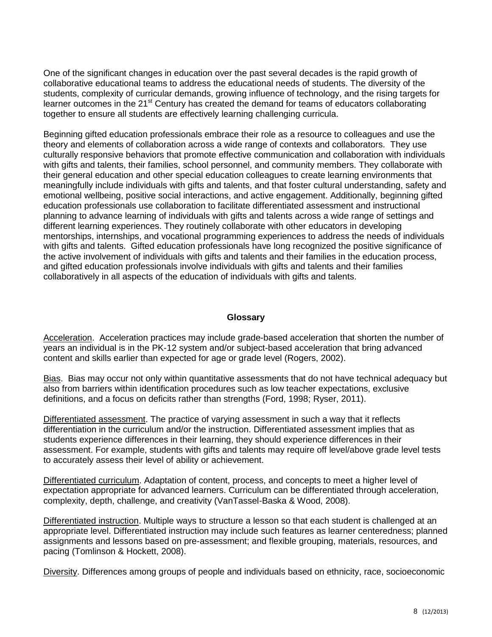One of the significant changes in education over the past several decades is the rapid growth of collaborative educational teams to address the educational needs of students. The diversity of the students, complexity of curricular demands, growing influence of technology, and the rising targets for learner outcomes in the 21<sup>st</sup> Century has created the demand for teams of educators collaborating together to ensure all students are effectively learning challenging curricula.

Beginning gifted education professionals embrace their role as a resource to colleagues and use the theory and elements of collaboration across a wide range of contexts and collaborators. They use culturally responsive behaviors that promote effective communication and collaboration with individuals with gifts and talents, their families, school personnel, and community members. They collaborate with their general education and other special education colleagues to create learning environments that meaningfully include individuals with gifts and talents, and that foster cultural understanding, safety and emotional wellbeing, positive social interactions, and active engagement. Additionally, beginning gifted education professionals use collaboration to facilitate differentiated assessment and instructional planning to advance learning of individuals with gifts and talents across a wide range of settings and different learning experiences. They routinely collaborate with other educators in developing mentorships, internships, and vocational programming experiences to address the needs of individuals with gifts and talents. Gifted education professionals have long recognized the positive significance of the active involvement of individuals with gifts and talents and their families in the education process, and gifted education professionals involve individuals with gifts and talents and their families collaboratively in all aspects of the education of individuals with gifts and talents.

#### **Glossary**

Acceleration. Acceleration practices may include grade-based acceleration that shorten the number of years an individual is in the PK-12 system and/or subject-based acceleration that bring advanced content and skills earlier than expected for age or grade level (Rogers, 2002).

Bias. Bias may occur not only within quantitative assessments that do not have technical adequacy but also from barriers within identification procedures such as low teacher expectations, exclusive definitions, and a focus on deficits rather than strengths (Ford, 1998; Ryser, 2011).

Differentiated assessment. The practice of varying assessment in such a way that it reflects differentiation in the curriculum and/or the instruction. Differentiated assessment implies that as students experience differences in their learning, they should experience differences in their assessment. For example, students with gifts and talents may require off level/above grade level tests to accurately assess their level of ability or achievement.

Differentiated curriculum. Adaptation of content, process, and concepts to meet a higher level of expectation appropriate for advanced learners. Curriculum can be differentiated through acceleration, complexity, depth, challenge, and creativity (VanTassel-Baska & Wood, 2008).

Differentiated instruction. Multiple ways to structure a lesson so that each student is challenged at an appropriate level. Differentiated instruction may include such features as learner centeredness; planned assignments and lessons based on pre-assessment; and flexible grouping, materials, resources, and pacing (Tomlinson & Hockett, 2008).

Diversity. Differences among groups of people and individuals based on ethnicity, race, socioeconomic